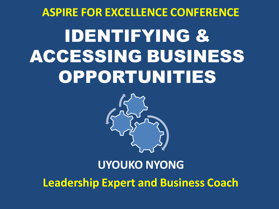# IDENTIFYING & ACCESSING BUSINESS OPPORTUNITIES **ASPIRE FOR EXCELLENCE CONFERENCE**



#### **UYOUKO NYONG Leadership Expert and Business Coach**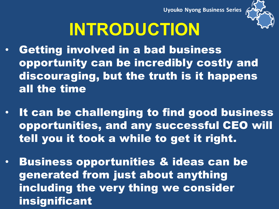

# **INTRODUCTION**

- Getting involved in a bad business opportunity can be incredibly costly and discouraging, but the truth is it happens all the time
- It can be challenging to find good business opportunities, and any successful CEO will tell you it took a while to get it right.
- Business opportunities & ideas can be generated from just about anything including the very thing we consider insignificant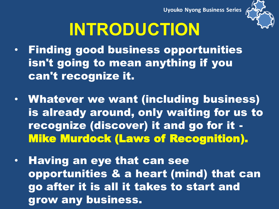

# **INTRODUCTION**

- Finding good business opportunities isn't going to mean anything if you can't recognize it.
- Whatever we want (including business) is already around, only waiting for us to recognize (discover) it and go for it - Mike Murdock (Laws of Recognition).
- Having an eye that can see opportunities & a heart (mind) that can go after it is all it takes to start and grow any business.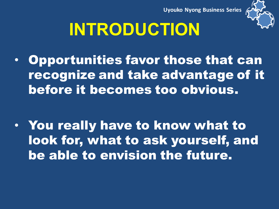

# **INTRODUCTION**

• Opportunities favor those that can recognize and take advantage of it before it becomes too obvious.

• You really have to know what to look for, what to ask yourself, and be able to envision the future.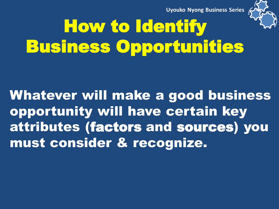

# How to Identify Business Opportunities

Whatever will make a good business opportunity will have certain key attributes (factors and sources) you must consider & recognize.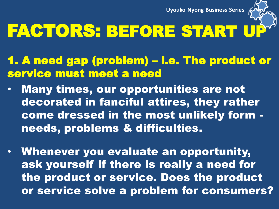

# FACTORS: BEFORE START U

- 1. A need gap (problem) i.e. The product or service must meet a need
- Many times, our opportunities are not decorated in fanciful attires, they rather come dressed in the most unlikely form needs, problems & difficulties.
- Whenever you evaluate an opportunity, ask yourself if there is really a need for the product or service. Does the product or service solve a problem for consumers?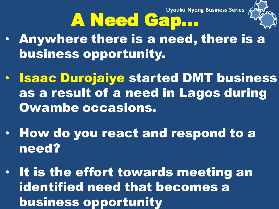

# A Need Gap…

- Anywhere there is a need, there is a business opportunity.
- Isaac Durojaiye started DMT business as a result of a need in Lagos during Owambe occasions.
- How do you react and respond to a need?
- It is the effort towards meeting an identified need that becomes a business opportunity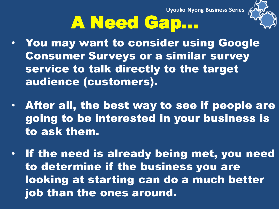# A Need Gap…

- You may want to consider using Google Consumer Surveys or a similar survey
	- service to talk directly to the target audience (customers).
- After all, the best way to see if people are going to be interested in your business is to ask them.
- If the need is already being met, you need to determine if the business you are looking at starting can do a much better job than the ones around.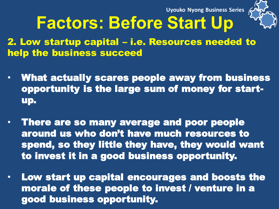

#### **Factors: Before Start Up**

2. Low startup capital – i.e. Resources needed to help the business succeed

- What actually scares people away from business opportunity is the large sum of money for startup.
- There are so many average and poor people around us who don't have much resources to spend, so they little they have, they would want to invest it in a good business opportunity.
- Low start up capital encourages and boosts the morale of these people to invest / venture in a good business opportunity.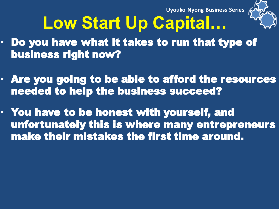

# **Low Start Up Capital…**

- Do you have what it takes to run that type of business right now?
- Are you going to be able to afford the resources needed to help the business succeed?
- You have to be honest with yourself, and unfortunately this is where many entrepreneurs make their mistakes the first time around.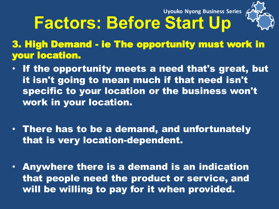

# **Factors: Before Start Up**

3. High Demand - ie The opportunity must work in your location.

- If the opportunity meets a need that's great, but it isn't going to mean much if that need isn't specific to your location or the business won't work in your location.
- There has to be a demand, and unfortunately that is very location-dependent.
- Anywhere there is a demand is an indication that people need the product or service, and will be willing to pay for it when provided.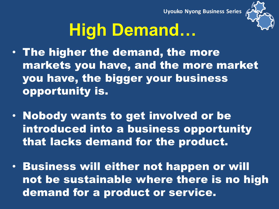

# **High Demand…**

- The higher the demand, the more markets you have, and the more market you have, the bigger your business opportunity is.
- Nobody wants to get involved or be introduced into a business opportunity that lacks demand for the product.
- Business will either not happen or will not be sustainable where there is no high demand for a product or service.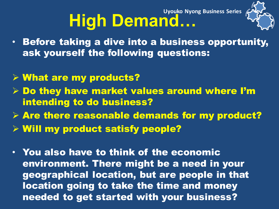#### **High Demand… Uyouko Nyong Business Series**



- Before taking a dive into a business opportunity, ask yourself the following questions:
- What are my products?
- **Do they have market values around where I'm** intending to do business?
- $\triangleright$  Are there reasonable demands for my product?
- Will my product satisfy people?
- You also have to think of the economic environment. There might be a need in your geographical location, but are people in that location going to take the time and money needed to get started with your business?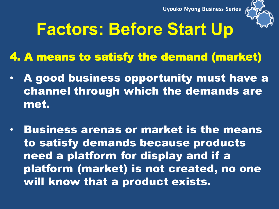

## **Factors: Before Start Up**

- 4. A means to satisfy the demand (market)
- A good business opportunity must have a channel through which the demands are met.
- Business arenas or market is the means to satisfy demands because products need a platform for display and if a platform (market) is not created, no one will know that a product exists.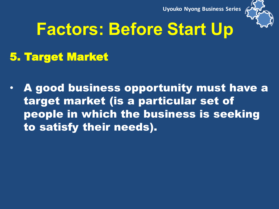

# **Factors: Before Start Up**

#### 5. Target Market

• A good business opportunity must have a target market (is a particular set of people in which the business is seeking to satisfy their needs).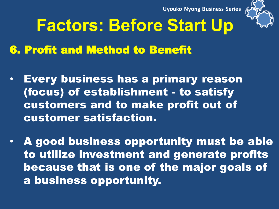

## **Factors: Before Start Up**

#### 6. Profit and Method to Benefit

- Every business has a primary reason (focus) of establishment - to satisfy customers and to make profit out of customer satisfaction.
- A good business opportunity must be able to utilize investment and generate profits because that is one of the major goals of a business opportunity.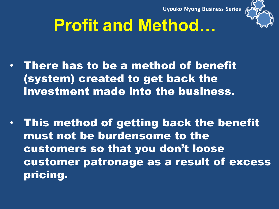

# **Profit and Method…**

- There has to be a method of benefit (system) created to get back the investment made into the business.
- This method of getting back the benefit must not be burdensome to the customers so that you don't loose customer patronage as a result of excess pricing.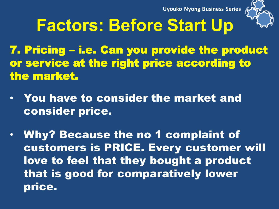

## **Factors: Before Start Up**

7. Pricing – i.e. Can you provide the product or service at the right price according to the market.

- You have to consider the market and consider price.
- Why? Because the no 1 complaint of customers is PRICE. Every customer will love to feel that they bought a product that is good for comparatively lower price.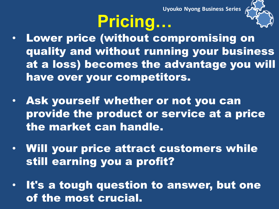# **Pricing…**



- Lower price (without compromising on quality and without running your business at a loss) becomes the advantage you will have over your competitors.
- Ask yourself whether or not you can provide the product or service at a price the market can handle.
- Will your price attract customers while still earning you a profit?
- It's a tough question to answer, but one of the most crucial.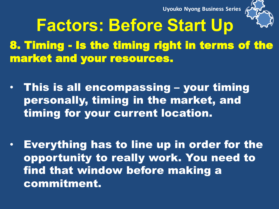

8. Timing - Is the timing right in terms of the market and your resources. **Factors: Before Start Up** 

- This is all encompassing your timing personally, timing in the market, and timing for your current location.
- Everything has to line up in order for the opportunity to really work. You need to find that window before making a commitment.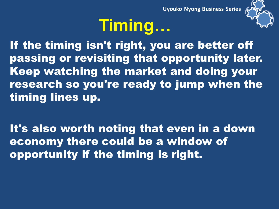# **Timing…**



If the timing isn't right, you are better off passing or revisiting that opportunity later. Keep watching the market and doing your research so you're ready to jump when the timing lines up.

It's also worth noting that even in a down economy there could be a window of opportunity if the timing is right.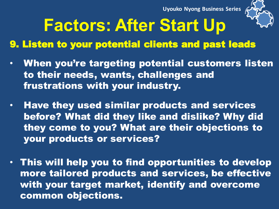

#### **Factors: After Start Up**

#### 9. Listen to your potential clients and past leads

- When you're targeting potential customers listen to their needs, wants, challenges and frustrations with your industry.
- Have they used similar products and services before? What did they like and dislike? Why did they come to you? What are their objections to your products or services?
- This will help you to find opportunities to develop more tailored products and services, be effective with your target market, identify and overcome common objections.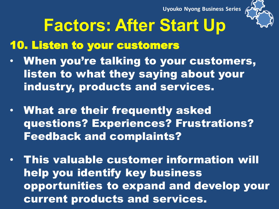

## **Factors: After Start Up**

10. Listen to your customers

- When you're talking to your customers, listen to what they saying about your industry, products and services.
- What are their frequently asked questions? Experiences? Frustrations? Feedback and complaints?
- This valuable customer information will help you identify key business opportunities to expand and develop your current products and services.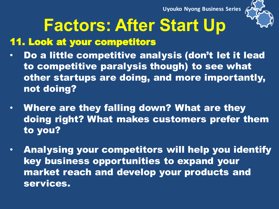

# **Factors: After Start Up**

#### 11. Look at your competitors

- Do a little competitive analysis (don't let it lead to competitive paralysis though) to see what other startups are doing, and more importantly, not doing?
- Where are they falling down? What are they doing right? What makes customers prefer them to you?
- Analysing your competitors will help you identify key business opportunities to expand your market reach and develop your products and services.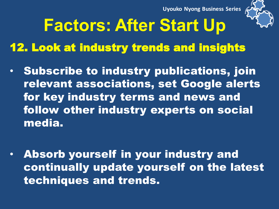

# **Factors: After Start Up**

12. Look at industry trends and insights

- Subscribe to industry publications, join relevant associations, set Google alerts for key industry terms and news and follow other industry experts on social media.
- Absorb yourself in your industry and continually update yourself on the latest techniques and trends.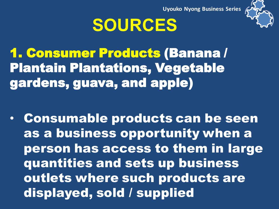

#### **SOURCES**

1. Consumer Products (Banana / Plantain Plantations, Vegetable gardens, guava, and apple)

• Consumable products can be seen as a business opportunity when a person has access to them in large quantities and sets up business outlets where such products are displayed, sold / supplied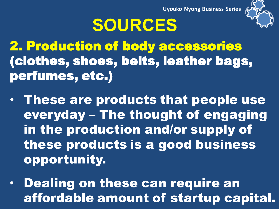

### **SOURCES**

2. Production of body accessories (clothes, shoes, belts, leather bags, perfumes, etc.)

- These are products that people use everyday – The thought of engaging in the production and/or supply of these products is a good business opportunity.
- Dealing on these can require an affordable amount of startup capital.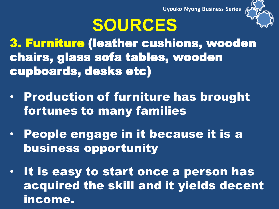

#### **SOURCES**

3. Furniture (leather cushions, wooden chairs, glass sofa tables, wooden cupboards, desks etc)

- Production of furniture has brought fortunes to many families
- People engage in it because it is a business opportunity
- It is easy to start once a person has acquired the skill and it yields decent income.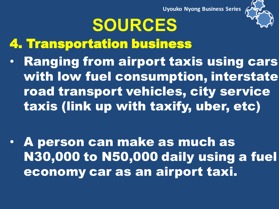

- 4. Transportation business
- Ranging from airport taxis using cars with low fuel consumption, interstate road transport vehicles, city service taxis (link up with taxify, uber, etc)

**SOURCES** 

• A person can make as much as N30,000 to N50,000 daily using a fuel economy car as an airport taxi.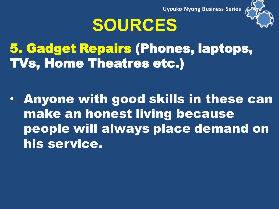

#### **SOURCES**

5. Gadget Repairs (Phones, laptops, TVs, Home Theatres etc.)

• Anyone with good skills in these can make an honest living because people will always place demand on his service.